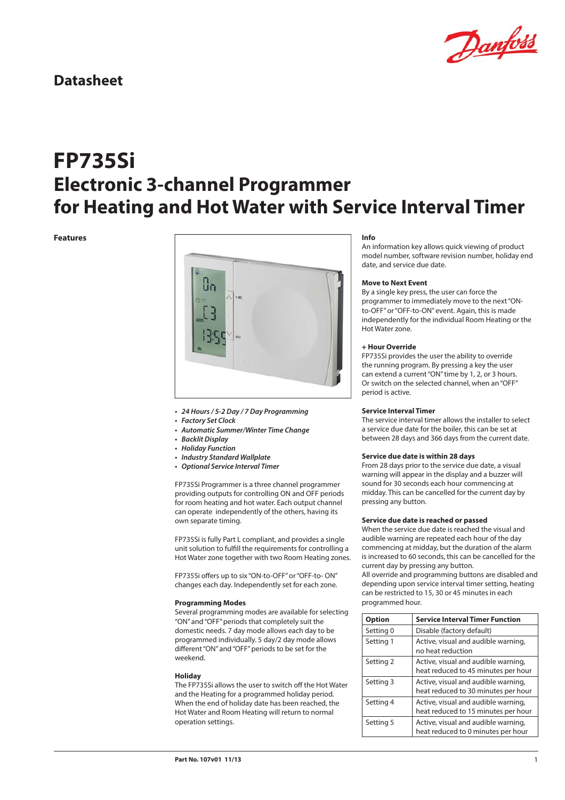

# **FP735Si Electronic 3-channel Programmer for Heating and Hot Water with Service Interval Timer**

#### **Features**



- **24 Hours / 5-2 Day / 7 Day Programming**
- **Factory Set Clock**
- **Automatic Summer/Winter Time Change**
- **Backlit Display**
- **Holiday Function**
- **Industry Standard Wallplate**
- **Optional Service Interval Timer**

FP735Si Programmer is a three channel programmer providing outputs for controlling ON and OFF periods for room heating and hot water. Each output channel can operate independently of the others, having its own separate timing.

FP735Si is fully Part L compliant, and provides a single unit solution to fulfill the requirements for controlling a Hot Water zone together with two Room Heating zones.

FP735Si offers up to six "ON-to-OFF" or "OFF-to- ON" changes each day. Independently set for each zone.

#### **Programming Modes**

Several programming modes are available for selecting "ON" and "OFF" periods that completely suit the domestic needs. 7 day mode allows each day to be programmed individually. 5 day/2 day mode allows different "ON" and "OFF" periods to be set for the weekend.

#### **Holiday**

The FP735Si allows the user to switch off the Hot Water and the Heating for a programmed holiday period. When the end of holiday date has been reached, the Hot Water and Room Heating will return to normal operation settings.

#### **Info**

An information key allows quick viewing of product model number, software revision number, holiday end date, and service due date.

#### **Move to Next Event**

By a single key press, the user can force the programmer to immediately move to the next "ONto-OFF" or "OFF-to-ON" event. Again, this is made independently for the individual Room Heating or the Hot Water zone.

### **+ Hour Override**

FP735Si provides the user the ability to override the running program. By pressing a key the user can extend a current "ON" time by 1, 2, or 3 hours. Or switch on the selected channel, when an "OFF" period is active.

### **Service Interval Timer**

The service interval timer allows the installer to select a service due date for the boiler, this can be set at between 28 days and 366 days from the current date.

#### **Service due date is within 28 days**

From 28 days prior to the service due date, a visual warning will appear in the display and a buzzer will sound for 30 seconds each hour commencing at midday. This can be cancelled for the current day by pressing any button.

#### **Service due date is reached or passed**

When the service due date is reached the visual and audible warning are repeated each hour of the day commencing at midday, but the duration of the alarm is increased to 60 seconds, this can be cancelled for the current day by pressing any button.

All override and programming buttons are disabled and depending upon service interval timer setting, heating can be restricted to 15, 30 or 45 minutes in each programmed hour.

| <b>Option</b> | <b>Service Interval Timer Function</b>                                     |
|---------------|----------------------------------------------------------------------------|
| Setting 0     | Disable (factory default)                                                  |
| Setting 1     | Active, visual and audible warning,<br>no heat reduction                   |
| Setting 2     | Active, visual and audible warning,<br>heat reduced to 45 minutes per hour |
| Setting 3     | Active, visual and audible warning,<br>heat reduced to 30 minutes per hour |
| Setting 4     | Active, visual and audible warning,<br>heat reduced to 15 minutes per hour |
| Setting 5     | Active, visual and audible warning,<br>heat reduced to 0 minutes per hour  |